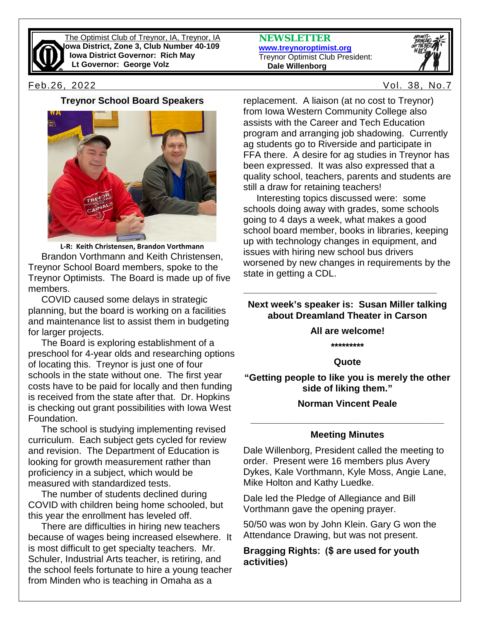

The Optimist Club of Treynor, IA, Treynor, IA **Iowa District, Zone 3, Club Number 40-109 Iowa District Governor: Rich May Lt Governor: George Volz**

**NEWSLETTER [www.treynoroptimist.org](http://www.treynoroptimist.org/)** Treynor Optimist Club President:  **Dale Willenborg**



Feb.26, 2022 Vol. 38, No.7

**Treynor School Board Speakers**



**L-R: Keith Christensen, Brandon Vorthmann** Brandon Vorthmann and Keith Christensen, Treynor School Board members, spoke to the Treynor Optimists. The Board is made up of five members.

 COVID caused some delays in strategic planning, but the board is working on a facilities and maintenance list to assist them in budgeting for larger projects.

 The Board is exploring establishment of a preschool for 4-year olds and researching options of locating this. Treynor is just one of four schools in the state without one. The first year costs have to be paid for locally and then funding is received from the state after that. Dr. Hopkins is checking out grant possibilities with Iowa West Foundation.

 The school is studying implementing revised curriculum. Each subject gets cycled for review and revision. The Department of Education is looking for growth measurement rather than proficiency in a subject, which would be measured with standardized tests.

 The number of students declined during COVID with children being home schooled, but this year the enrollment has leveled off.

 There are difficulties in hiring new teachers because of wages being increased elsewhere. It is most difficult to get specialty teachers. Mr. Schuler, Industrial Arts teacher, is retiring, and the school feels fortunate to hire a young teacher from Minden who is teaching in Omaha as a

replacement. A liaison (at no cost to Treynor) from Iowa Western Community College also assists with the Career and Tech Education program and arranging job shadowing. Currently ag students go to Riverside and participate in FFA there. A desire for ag studies in Treynor has been expressed. It was also expressed that a quality school, teachers, parents and students are still a draw for retaining teachers!

 Interesting topics discussed were: some schools doing away with grades, some schools going to 4 days a week, what makes a good school board member, books in libraries, keeping up with technology changes in equipment, and issues with hiring new school bus drivers worsened by new changes in requirements by the state in getting a CDL.

### **Next week's speaker is: Susan Miller talking about Dreamland Theater in Carson**

**\_\_\_\_\_\_\_\_\_\_\_\_\_\_\_\_\_\_\_\_\_\_\_\_\_\_\_\_\_\_\_\_\_\_\_\_\_**

**All are welcome!**

**\*\*\*\*\*\*\*\*\***

#### **Quote**

**"Getting people to like you is merely the other side of liking them."**

### **Norman Vincent Peale**

# **\_\_\_\_\_\_\_\_\_\_\_\_\_\_\_\_\_\_\_\_\_\_\_\_\_\_\_\_\_\_\_\_\_\_\_\_\_ Meeting Minutes**

Dale Willenborg, President called the meeting to order. Present were 16 members plus Avery Dykes, Kale Vorthmann, Kyle Moss, Angie Lane, Mike Holton and Kathy Luedke.

Dale led the Pledge of Allegiance and Bill Vorthmann gave the opening prayer.

50/50 was won by John Klein. Gary G won the Attendance Drawing, but was not present.

### **Bragging Rights: (\$ are used for youth activities)**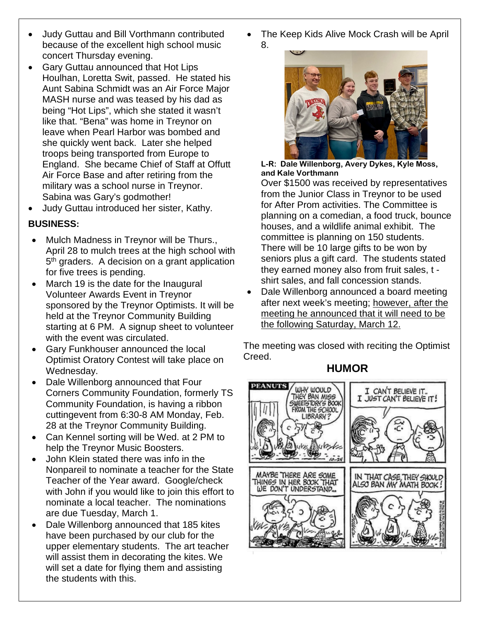- Judy Guttau and Bill Vorthmann contributed because of the excellent high school music concert Thursday evening.
- Gary Guttau announced that Hot Lips Houlhan, Loretta Swit, passed. He stated his Aunt Sabina Schmidt was an Air Force Major MASH nurse and was teased by his dad as being "Hot Lips", which she stated it wasn't like that. "Bena" was home in Treynor on leave when Pearl Harbor was bombed and she quickly went back. Later she helped troops being transported from Europe to England. She became Chief of Staff at Offutt Air Force Base and after retiring from the military was a school nurse in Treynor. Sabina was Gary's godmother!
- Judy Guttau introduced her sister, Kathy.

## **BUSINESS:**

- Mulch Madness in Treynor will be Thurs., April 28 to mulch trees at the high school with 5<sup>th</sup> graders. A decision on a grant application for five trees is pending.
- March 19 is the date for the Inaugural Volunteer Awards Event in Treynor sponsored by the Treynor Optimists. It will be held at the Treynor Community Building starting at 6 PM. A signup sheet to volunteer with the event was circulated.
- Gary Funkhouser announced the local Optimist Oratory Contest will take place on Wednesday.
- Dale Willenborg announced that Four Corners Community Foundation, formerly TS Community Foundation, is having a ribbon cuttingevent from 6:30-8 AM Monday, Feb. 28 at the Treynor Community Building.
- Can Kennel sorting will be Wed. at 2 PM to help the Treynor Music Boosters.
- John Klein stated there was info in the Nonpareil to nominate a teacher for the State Teacher of the Year award. Google/check with John if you would like to join this effort to nominate a local teacher. The nominations are due Tuesday, March 1.
- Dale Willenborg announced that 185 kites have been purchased by our club for the upper elementary students. The art teacher will assist them in decorating the kites. We will set a date for flying them and assisting the students with this.

• The Keep Kids Alive Mock Crash will be April 8.



**L-R: Dale Willenborg, Avery Dykes, Kyle Moss, and Kale Vorthmann**

Over \$1500 was received by representatives from the Junior Class in Treynor to be used for After Prom activities. The Committee is planning on a comedian, a food truck, bounce houses, and a wildlife animal exhibit. The committee is planning on 150 students. There will be 10 large gifts to be won by seniors plus a gift card. The students stated they earned money also from fruit sales, t shirt sales, and fall concession stands.

• Dale Willenborg announced a board meeting after next week's meeting; however, after the meeting he announced that it will need to be the following Saturday, March 12.

The meeting was closed with reciting the Optimist Creed.

# **HUMOR**